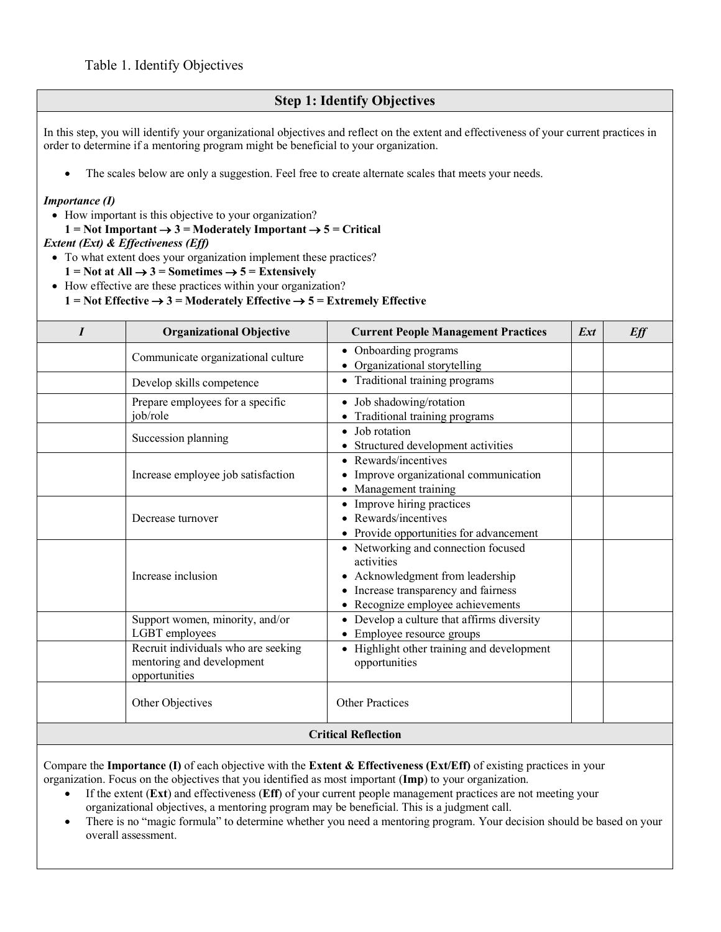## **Step 1: Identify Objectives**

In this step, you will identify your organizational objectives and reflect on the extent and effectiveness of your current practices in order to determine if a mentoring program might be beneficial to your organization.

The scales below are only a suggestion. Feel free to create alternate scales that meets your needs.

## *Importance (I)*

- How important is this objective to your organization?
- $1 = Not Important \rightarrow 3 = Moderned$  Important  $\rightarrow 5 = Critical$

## *Extent (Ext) & Effectiveness (Eff)*

- To what extent does your organization implement these practices?
	- $1 = Not at All \rightarrow 3 = Sometimes \rightarrow 5 = Extensively$
- How effective are these practices within your organization?

 $1 = Not Effective \rightarrow 3 = Moderned$  Effective  $\rightarrow 5 = Extractive$ 

| $\boldsymbol{I}$           | <b>Organizational Objective</b>                                                   | <b>Current People Management Practices</b>                                                                                                                     | $\mathbf{Ext}$ | Eff |
|----------------------------|-----------------------------------------------------------------------------------|----------------------------------------------------------------------------------------------------------------------------------------------------------------|----------------|-----|
|                            | Communicate organizational culture                                                | • Onboarding programs<br>• Organizational storytelling                                                                                                         |                |     |
|                            | Develop skills competence                                                         | • Traditional training programs                                                                                                                                |                |     |
|                            | Prepare employees for a specific<br>job/role                                      | Job shadowing/rotation<br>Traditional training programs                                                                                                        |                |     |
|                            | Succession planning                                                               | • Job rotation<br>Structured development activities                                                                                                            |                |     |
|                            | Increase employee job satisfaction                                                | • Rewards/incentives<br>Improve organizational communication<br>Management training                                                                            |                |     |
|                            | Decrease turnover                                                                 | • Improve hiring practices<br>• Rewards/incentives<br>• Provide opportunities for advancement                                                                  |                |     |
|                            | Increase inclusion                                                                | • Networking and connection focused<br>activities<br>Acknowledgment from leadership<br>Increase transparency and fairness<br>• Recognize employee achievements |                |     |
|                            | Support women, minority, and/or<br>LGBT employees                                 | • Develop a culture that affirms diversity<br>Employee resource groups                                                                                         |                |     |
|                            | Recruit individuals who are seeking<br>mentoring and development<br>opportunities | • Highlight other training and development<br>opportunities                                                                                                    |                |     |
|                            | Other Objectives                                                                  | <b>Other Practices</b>                                                                                                                                         |                |     |
| <b>Critical Reflection</b> |                                                                                   |                                                                                                                                                                |                |     |

Compare the **Importance (I)** of each objective with the **Extent & Effectiveness (Ext/Eff)** of existing practices in your organization. Focus on the objectives that you identified as most important (**Imp**) to your organization.

- If the extent (**Ext**) and effectiveness (**Eff**) of your current people management practices are not meeting your organizational objectives, a mentoring program may be beneficial. This is a judgment call.
- There is no "magic formula" to determine whether you need a mentoring program. Your decision should be based on your overall assessment.